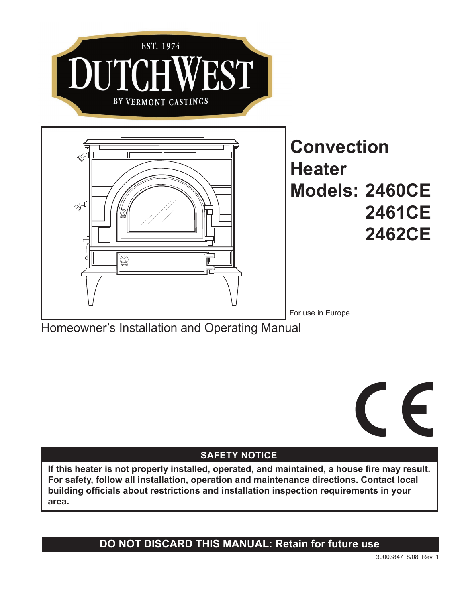

Homeowner's Installation and Operating Manual



# **SAFETY NOTICE**

**If this heater is not properly installed, operated, and maintained, a house fire may result. For safety, follow all installation, operation and maintenance directions. Contact local building officials about restrictions and installation inspection requirements in your area.**

**DO NOT DISCARD THIS MANUAL: Retain for future use**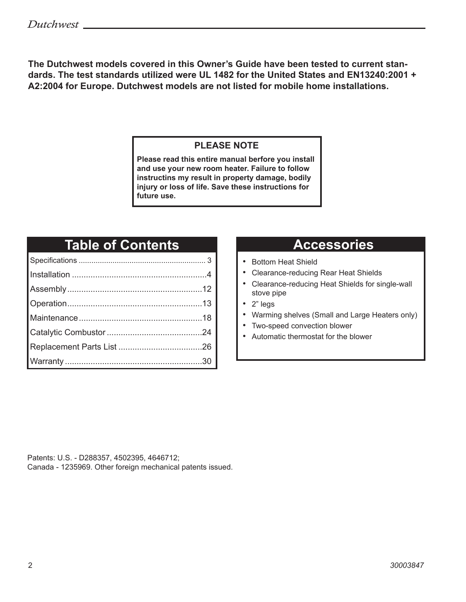**The Dutchwest models covered in this Owner's Guide have been tested to current standards. The test standards utilized were UL 1482 for the United States and EN13240:2001 + A2:2004 for Europe. Dutchwest models are not listed for mobile home installations.** 

## **PLEASE NOTE**

**Please read this entire manual berfore you install and use your new room heater. Failure to follow instructins my result in property damage, bodily injury or loss of life. Save these instructions for future use.**

# **Table of Contents**

# **Accessories**

- Bottom Heat Shield
- Clearance-reducing Rear Heat Shields
- Clearance-reducing Heat Shields for single-wall stove pipe
- 2" legs
- Warming shelves (Small and Large Heaters only)
- Two-speed convection blower
- Automatic thermostat for the blower

Patents: U.S. - D288357, 4502395, 4646712; Canada - 1235969. Other foreign mechanical patents issued.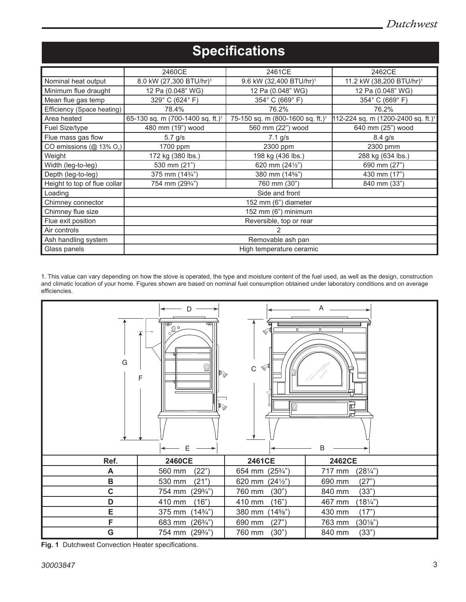|                                      | 2460CE                                          | 2461CE                                       | 2462CE                                            |
|--------------------------------------|-------------------------------------------------|----------------------------------------------|---------------------------------------------------|
| Nominal heat output                  | 8.0 kW (27,300 BTU/hr) <sup>1</sup>             | 9.6 kW (32,400 BTU/hr) <sup>1</sup>          | 11.2 kW (38,200 BTU/hr) <sup>1</sup>              |
| Minimum flue draught                 | 12 Pa (0.048" WG)                               | 12 Pa (0.048" WG)                            | 12 Pa (0.048" WG)                                 |
| Mean flue gas temp                   | 329° C (624° F)                                 | 354° C (669° F)                              | 354° C (669° F)                                   |
| Efficiency (Space heating)           | 78.4%                                           | 76.2%                                        | 76.2%                                             |
| Area heated                          | 65-130 sq. m (700-1400 sq. ft.) <sup>1</sup>    | 75-150 sq. m (800-1600 sq. ft.) <sup>1</sup> | $[112-224$ sq. m (1200-2400 sq. ft.) <sup>1</sup> |
| Fuel Size/type                       | 480 mm (19") wood                               | 560 mm (22") wood                            | 640 mm (25") wood                                 |
| Flue mass gas flow                   | $5.7$ g/s                                       | $7.1$ g/s                                    | $8.4$ g/s                                         |
| CO emissions (@ 13% O <sub>2</sub> ) | 1700 ppm                                        | 2300 ppm                                     | 2300 pmm                                          |
| Weight                               | 172 kg (380 lbs.)                               | 198 kg (436 lbs.)                            | 288 kg (634 lbs.)                                 |
| Width (leg-to-leg)                   | 530 mm (21")                                    | 620 mm $(24\frac{1}{2})$                     | 690 mm (27")                                      |
| Depth (leg-to-leg)                   | 375 mm (14 <sup>3/4"</sup> )                    | 380 mm (14%")                                | 430 mm (17")                                      |
| Height to top of flue collar         | 754 mm (293/4")<br>760 mm (30")<br>840 mm (33") |                                              |                                                   |
| Loading                              | Side and front                                  |                                              |                                                   |
| Chimney connector                    | 152 mm (6") diameter                            |                                              |                                                   |
| Chimney flue size                    | 152 mm (6") minimum                             |                                              |                                                   |
| Flue exit position                   | Reversible, top or rear                         |                                              |                                                   |
| Air controls                         |                                                 |                                              |                                                   |
| Ash handling system                  | Removable ash pan                               |                                              |                                                   |
| Glass panels                         | High temperature ceramic                        |                                              |                                                   |

# **Specifications**

1. This value can vary depending on how the stove is operated, the type and moisture content of the fuel used, as well as the design, construction and climatic location of your home. Figures shown are based on nominal fuel consumption obtained under laboratory conditions and on average efficiencies.



**Fig. 1** Dutchwest Convection Heater specifications.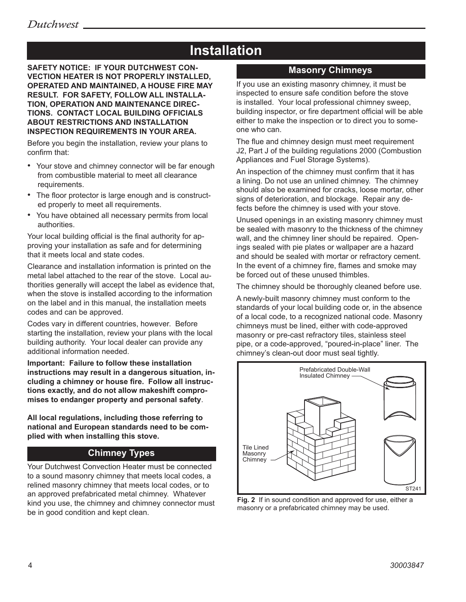# **Installation**

**SAFETY NOTICE: IF YOUR DUTCHWEST CON-VECTION HEATER IS NOT PROPERLY INSTALLED, OPERATED AND MAINTAINED, A HOUSE FIRE MAY RESULT. FOR SAFETY, FOLLOW ALL INSTALLA-TION, OPERATION AND MAINTENANCE DIREC-TIONS. CONTACT LOCAL BUILDING OFFICIALS ABOUT RESTRICTIONS AND INSTALLATION INSPECTION REQUIREMENTS IN YOUR AREA.**

Before you begin the installation, review your plans to confirm that:

- Your stove and chimney connector will be far enough from combustible material to meet all clearance requirements.
- The floor protector is large enough and is constructed properly to meet all requirements.
- You have obtained all necessary permits from local authorities.

Your local building official is the final authority for approving your installation as safe and for determining that it meets local and state codes.

Clearance and installation information is printed on the metal label attached to the rear of the stove. Local authorities generally will accept the label as evidence that, when the stove is installed according to the information on the label and in this manual, the installation meets codes and can be approved.

Codes vary in different countries, however. Before starting the installation, review your plans with the local building authority. Your local dealer can provide any additional information needed.

**Important: Failure to follow these installation instructions may result in a dangerous situation, including a chimney or house fire. Follow all instructions exactly, and do not allow makeshift compromises to endanger property and personal safety**.

**All local regulations, including those referring to national and European standards need to be complied with when installing this stove.**

## **Chimney Types**

Your Dutchwest Convection Heater must be connected to a sound masonry chimney that meets local codes, a relined masonry chimney that meets local codes, or to an approved prefabricated metal chimney. Whatever kind you use, the chimney and chimney connector must be in good condition and kept clean.

### **Masonry Chimneys**

If you use an existing masonry chimney, it must be inspected to ensure safe condition before the stove is installed. Your local professional chimney sweep, building inspector, or fire department official will be able either to make the inspection or to direct you to someone who can.

The flue and chimney design must meet requirement J2, Part J of the building regulations 2000 (Combustion Appliances and Fuel Storage Systems).

An inspection of the chimney must confirm that it has a lining. Do not use an unlined chimney. The chimney should also be examined for cracks, loose mortar, other signs of deterioration, and blockage. Repair any defects before the chimney is used with your stove.

Unused openings in an existing masonry chimney must be sealed with masonry to the thickness of the chimney wall, and the chimney liner should be repaired. Openings sealed with pie plates or wallpaper are a hazard and should be sealed with mortar or refractory cement. In the event of a chimney fire, flames and smoke may be forced out of these unused thimbles.

The chimney should be thoroughly cleaned before use.

A newly-built masonry chimney must conform to the standards of your local building code or, in the absence of a local code, to a recognized national code. Masonry chimneys must be lined, either with code-approved masonry or pre-cast refractory tiles, stainless steel pipe, or a code-approved, "poured-in-place" liner. The chimney's clean-out door must seal tightly.



**Fig. 2** If in sound condition and approved for use, either a masonry or a prefabricated chimney may be used.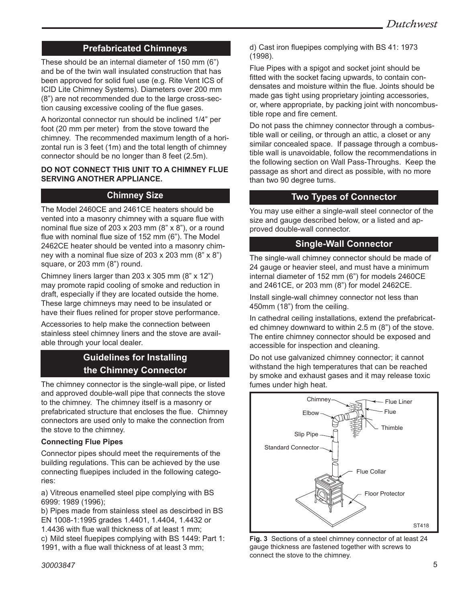## **Prefabricated Chimneys**

These should be an internal diameter of 150 mm (6") and be of the twin wall insulated construction that has been approved for solid fuel use (e.g. Rite Vent ICS of ICID Lite Chimney Systems). Diameters over 200 mm (8") are not recommended due to the large cross-section causing excessive cooling of the flue gases.

A horizontal connector run should be inclined 1/4" per foot (20 mm per meter) from the stove toward the chimney. The recommended maximum length of a horizontal run is 3 feet (1m) and the total length of chimney connector should be no longer than 8 feet (2.5m).

#### **DO NOT CONNECT THIS UNIT TO A CHIMNEY FLUE SERVING ANOTHER APPLIANCE.**

### **Chimney Size**

The Model 2460CE and 2461CE heaters should be vented into a masonry chimney with a square flue with nominal flue size of 203 x 203 mm (8" x 8"), or a round flue with nominal flue size of 152 mm (6"). The Model 2462CE heater should be vented into a masonry chimney with a nominal flue size of 203 x 203 mm (8" x 8") square, or 203 mm (8") round.

Chimney liners larger than 203 x 305 mm (8" x 12") may promote rapid cooling of smoke and reduction in draft, especially if they are located outside the home. These large chimneys may need to be insulated or have their flues relined for proper stove performance.

Accessories to help make the connection between stainless steel chimney liners and the stove are available through your local dealer.

## **Guidelines for Installing the Chimney Connector**

The chimney connector is the single-wall pipe, or listed and approved double-wall pipe that connects the stove to the chimney. The chimney itself is a masonry or prefabricated structure that encloses the flue. Chimney connectors are used only to make the connection from the stove to the chimney.

#### **Connecting Flue Pipes**

Connector pipes should meet the requirements of the building regulations. This can be achieved by the use connecting fluepipes included in the following categories:

a) Vitreous enamelled steel pipe complying with BS 6999: 1989 (1996);

b) Pipes made from stainless steel as descirbed in BS EN 1008-1:1995 grades 1.4401, 1.4404, 1.4432 or 1.4436 with flue wall thickness of at least 1 mm; c) Mild steel fluepipes complying with BS 1449: Part 1: 1991, with a flue wall thickness of at least 3 mm;

d) Cast iron fluepipes complying with BS 41: 1973 (1998).

Flue Pipes with a spigot and socket joint should be fitted with the socket facing upwards, to contain condensates and moisture within the flue. Joints should be made gas tight using proprietary jointing accessories, or, where appropriate, by packing joint with noncombustible rope and fire cement.

Do not pass the chimney connector through a combustible wall or ceiling, or through an attic, a closet or any similar concealed space. If passage through a combustible wall is unavoidable, follow the recommendations in the following section on Wall Pass-Throughs. Keep the passage as short and direct as possible, with no more than two 90 degree turns.

## **Two Types of Connector**

You may use either a single-wall steel connector of the size and gauge described below, or a listed and approved double-wall connector.

### **Single-Wall Connector**

The single-wall chimney connector should be made of 24 gauge or heavier steel, and must have a minimum internal diameter of 152 mm (6") for models 2460CE and 2461CE, or 203 mm (8") for model 2462CE.

Install single-wall chimney connector not less than 450mm (18") from the ceiling.

In cathedral ceiling installations, extend the prefabricated chimney downward to within 2.5 m (8") of the stove. The entire chimney connector should be exposed and accessible for inspection and cleaning.

Do not use galvanized chimney connector; it cannot withstand the high temperatures that can be reached by smoke and exhaust gases and it may release toxic fumes under high heat.



yauge michiess are lasteried togens. chimney connections **Fig. 3** Sections of a steel chimney connector of at least 24 gauge thickness are fastened together with screws to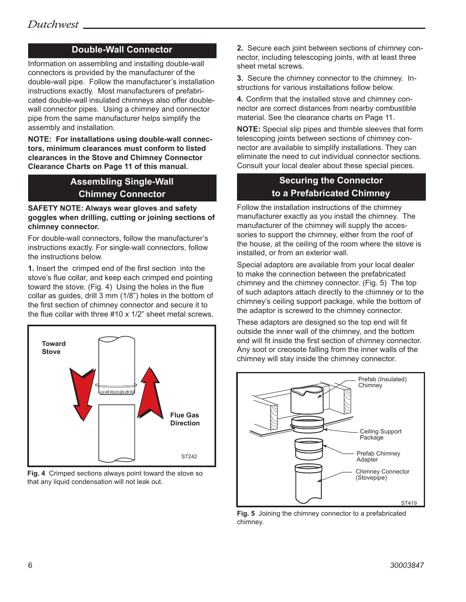## **Double-Wall Connector**

Information on assembling and installing double-wall connectors is provided by the manufacturer of the double-wall pipe. Follow the manufacturer's installation instructions exactly. Most manufacturers of prefabricated double-wall insulated chimneys also offer doublewall connector pipes. Using a chimney and connector pipe from the same manufacturer helps simplify the assembly and installation.

**NOTE: For installations using double-wall connectors, minimum clearances must conform to listed clearances in the Stove and Chimney Connector Clearance Charts on Page 11 of this manual.**

## **Assembling Single-Wall Chimney Connector**

#### **SAFETY NOTE: Always wear gloves and safety goggles when drilling, cutting or joining sections of chimney connector.**

For double-wall connectors, follow the manufacturer's instructions exactly. For single-wall connectors, follow the instructions below.

**1.** Insert the crimped end of the first section into the stove's flue collar, and keep each crimped end pointing toward the stove. (Fig. 4) Using the holes in the flue collar as guides, drill 3 mm (1/8") holes in the bottom of the first section of chimney connector and secure it to the flue collar with three #10 x 1/2" sheet metal screws.



**Fig. 4** Crimped sections always point toward the stove so that any liquid condensation will not leak out.

**2.** Secure each joint between sections of chimney connector, including telescoping joints, with at least three sheet metal screws.

**3.** Secure the chimney connector to the chimney. Instructions for various installations follow below.

**4.** Confirm that the installed stove and chimney connector are correct distances from nearby combustible material. See the clearance charts on Page 11.

**NOTE:** Special slip pipes and thimble sleeves that form telescoping joints between sections of chimney connector are available to simplify installations. They can eliminate the need to cut individual connector sections. Consult your local dealer about these special pieces.

## **Securing the Connector to a Prefabricated Chimney**

Follow the installation instructions of the chimney manufacturer exactly as you install the chimney. The manufacturer of the chimney will supply the accessories to support the chimney, either from the roof of the house, at the ceiling of the room where the stove is installed, or from an exterior wall.

Special adaptors are available from your local dealer to make the connection between the prefabricated chimney and the chimney connector. (Fig. 5) The top of such adaptors attach directly to the chimney or to the chimney's ceiling support package, while the bottom of the adaptor is screwed to the chimney connector.

These adaptors are designed so the top end will fit outside the inner wall of the chimney, and the bottom end will fit inside the first section of chimney connector. Any soot or creosote falling from the inner walls of the chimney will stay inside the chimney connector.



**Fig. 5** Joining the chimney connector to a prefabricated chimney.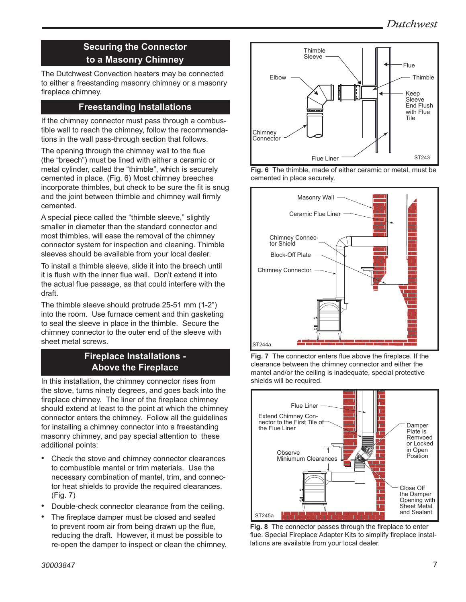## **Securing the Connector to a Masonry Chimney**

The Dutchwest Convection heaters may be connected to either a freestanding masonry chimney or a masonry fireplace chimney.

## **Freestanding Installations**

If the chimney connector must pass through a combustible wall to reach the chimney, follow the recommendations in the wall pass-through section that follows.

The opening through the chimney wall to the flue (the "breech") must be lined with either a ceramic or metal cylinder, called the "thimble", which is securely cemented in place. (Fig. 6) Most chimney breeches incorporate thimbles, but check to be sure the fit is snug and the joint between thimble and chimney wall firmly cemented.

A special piece called the "thimble sleeve," slightly smaller in diameter than the standard connector and most thimbles, will ease the removal of the chimney connector system for inspection and cleaning. Thimble sleeves should be available from your local dealer.

To install a thimble sleeve, slide it into the breech until it is flush with the inner flue wall. Don't extend it into the actual flue passage, as that could interfere with the draft.

The thimble sleeve should protrude 25-51 mm (1-2") into the room. Use furnace cement and thin gasketing to seal the sleeve in place in the thimble. Secure the chimney connector to the outer end of the sleeve with sheet metal screws.

### **Fireplace Installations - Above the Fireplace**

In this installation, the chimney connector rises from the stove, turns ninety degrees, and goes back into the fireplace chimney. The liner of the fireplace chimney should extend at least to the point at which the chimney connector enters the chimney. Follow all the guidelines for installing a chimney connector into a freestanding masonry chimney, and pay special attention to these additional points:

- Check the stove and chimney connector clearances to combustible mantel or trim materials. Use the necessary combination of mantel, trim, and connector heat shields to provide the required clearances. (Fig. 7)
- Double-check connector clearance from the ceiling.
- The fireplace damper must be closed and sealed to prevent room air from being drawn up the flue, reducing the draft. However, it must be possible to re-open the damper to inspect or clean the chimney.



cemented in place securely.







**Fig. 8** The connector passes through the fireplace to enter flue. Special Fireplace Adapter Kits to simplify fireplace installations are available from your local dealer.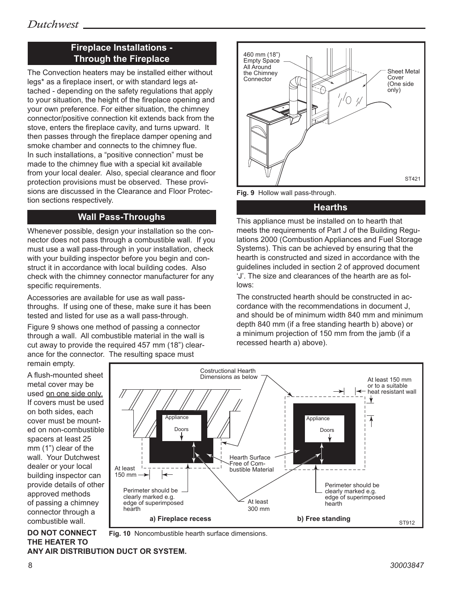## **Fireplace Installations - Through the Fireplace**

The Convection heaters may be installed either without legs\* as a fireplace insert, or with standard legs attached - depending on the safety regulations that apply to your situation, the height of the fireplace opening and your own preference. For either situation, the chimney connector/positive connection kit extends back from the stove, enters the fireplace cavity, and turns upward. It then passes through the fireplace damper opening and smoke chamber and connects to the chimney flue. In such installations, a "positive connection" must be made to the chimney flue with a special kit available from your local dealer. Also, special clearance and floor protection provisions must be observed. These provisions are discussed in the Clearance and Floor Protection sections respectively.

### **Wall Pass-Throughs**

Whenever possible, design your installation so the connector does not pass through a combustible wall. If you must use a wall pass-through in your installation, check with your building inspector before you begin and construct it in accordance with local building codes. Also check with the chimney connector manufacturer for any specific requirements.

Accessories are available for use as wall passthroughs. If using one of these, make sure it has been tested and listed for use as a wall pass-through.

Figure 9 shows one method of passing a connector through a wall. All combustible material in the wall is cut away to provide the required 457 mm (18") clearance for the connector. The resulting space must remain empty.

460 mm (18") Empty Space All Around Sheet Metal the Chimney Cover **Connector** (One side -A only)  $\sqrt{O}$ ST421



#### **Hearths**

This appliance must be installed on to hearth that meets the requirements of Part J of the Building Regulations 2000 (Combustion Appliances and Fuel Storage Systems). This can be achieved by ensuring that the hearth is constructed and sized in accordance with the guidelines included in section 2 of approved document 'J'. The size and clearances of the hearth are as follows: hollow

The constructed hearth should be constructed in accordance with the recommendations in document J, and should be of minimum width 840 mm and minimum depth 840 mm (if a free standing hearth b) above) or a minimum projection of 150 mm from the jamb (if a recessed hearth a) above).

A flush-mounted sheet metal cover may be used on one side only. If covers must be used on both sides, each cover must be mounted on non-combustible spacers at least 25 mm (1") clear of the wall. Your Dutchwest dealer or your local building inspector can provide details of other approved methods of passing a chimney connector through a combustible wall.

**DO NOT CONNECT** 



**Fig. 10** Noncombustible hearth surface dimensions.

#### **THE HEATER TO ANY AIR DISTRIBUTION DUCT OR SYSTEM.**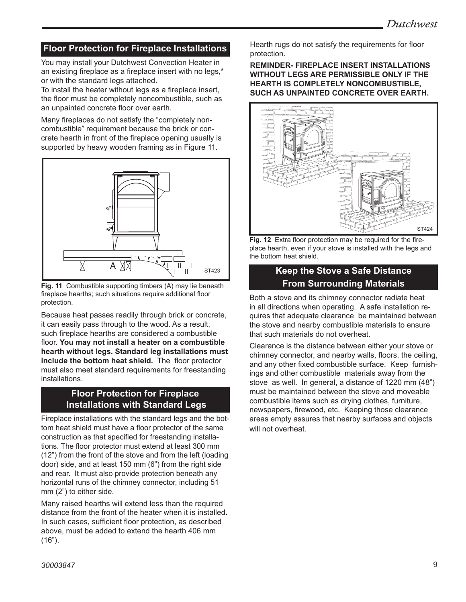## **Floor Protection for Fireplace Installations**

You may install your Dutchwest Convection Heater in an existing fireplace as a fireplace insert with no legs,\* or with the standard legs attached.

To install the heater without legs as a fireplace insert, the floor must be completely noncombustible, such as an unpainted concrete floor over earth.

Many fireplaces do not satisfy the "completely noncombustible" requirement because the brick or concrete hearth in front of the fireplace opening usually is supported by heavy wooden framing as in Figure 11.



**Fig. 11** Combustible supporting timbers (A) may lie beneath fireplace hearths; such situations require additional floor protection.

it can easily pass through to the wood. As a result, such fireplace hearths are considered a combustible floor. You may not install a heater on a combustible nearth without legs. Standard leg instanations mus<br>**include the bottom heat shield.** The floor protector Because heat passes readily through brick or concrete, **hearth without legs. Standard leg installations must**  must also meet standard requirements for freestanding installations.

#### **Floor Protection for Fireplace Installations with Standard Legs**

Fireplace installations with the standard legs and the bottom heat shield must have a floor protector of the same construction as that specified for freestanding installations. The floor protector must extend at least 300 mm (12") from the front of the stove and from the left (loading door) side, and at least 150 mm (6") from the right side and rear. It must also provide protection beneath any horizontal runs of the chimney connector, including 51 mm (2") to either side.

Many raised hearths will extend less than the required distance from the front of the heater when it is installed. In such cases, sufficient floor protection, as described above, must be added to extend the hearth 406 mm  $(16")$ .

Hearth rugs do not satisfy the requirements for floor protection.

**REMINDER- FIREPLACE INSERT INSTALLATIONS WITHOUT LEGS ARE PERMISSIBLE ONLY IF THE HEARTH IS COMPLETELY NONCOMBUSTIBLE, SUCH AS UNPAINTED CONCRETE OVER EARTH.**



**Fig. 12** Extra floor protection may be required for the fireplace hearth, even if your stove is installed with the legs and the bottom heat shield.

#### **Keep the Stove a Safe Distance**  $\mathbf{u}$ **From Surrounding Materials**

Both a stove and its chimney connector radiate heat in all directions when operating. A safe installation requires that adequate clearance be maintained between the stove and nearby combustible materials to ensure that such materials do not overheat.

Clearance is the distance between either your stove or chimney connector, and nearby walls, floors, the ceiling, and any other fixed combustible surface. Keep furnishings and other combustible materials away from the stove as well. In general, a distance of 1220 mm (48") must be maintained between the stove and moveable combustible items such as drying clothes, furniture, newspapers, firewood, etc. Keeping those clearance areas empty assures that nearby surfaces and objects will not overheat.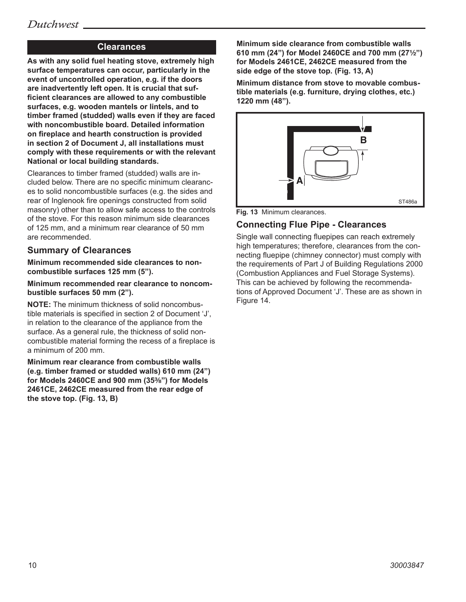## **Clearances**

**As with any solid fuel heating stove, extremely high surface temperatures can occur, particularly in the event of uncontrolled operation, e.g. if the doors are inadvertently left open. It is crucial that sufficient clearances are allowed to any combustible surfaces, e.g. wooden mantels or lintels, and to timber framed (studded) walls even if they are faced with noncombustible board. Detailed information on fireplace and hearth construction is provided in section 2 of Document J, all installations must comply with these requirements or with the relevant National or local building standards.**

Clearances to timber framed (studded) walls are included below. There are no specific minimum clearances to solid noncombustible surfaces (e.g. the sides and rear of Inglenook fire openings constructed from solid masonry) other than to allow safe access to the controls of the stove. For this reason minimum side clearances of 125 mm, and a minimum rear clearance of 50 mm are recommended.

#### **Summary of Clearances**

**Minimum recommended side clearances to noncombustible surfaces 125 mm (5").**

**Minimum recommended rear clearance to noncombustible surfaces 50 mm (2").**

**NOTE:** The minimum thickness of solid noncombustible materials is specified in section 2 of Document 'J', in relation to the clearance of the appliance from the surface. As a general rule, the thickness of solid noncombustible material forming the recess of a fireplace is a minimum of 200 mm.

**Minimum rear clearance from combustible walls (e.g. timber framed or studded walls) 610 mm (24") for Models 2460CE and 900 mm (35³⁄₈") for Models 2461CE, 2462CE measured from the rear edge of the stove top. (Fig. 13, B)**

**Minimum side clearance from combustible walls 610 mm (24") for Model 2460CE and 700 mm (27¹⁄₂") for Models 2461CE, 2462CE measured from the side edge of the stove top. (Fig. 13, A)**

**Minimum distance from stove to movable combustible materials (e.g. furniture, drying clothes, etc.) 1220 mm (48").**



**Fig. 13** Minimum clearances.

#### **Connecting Flue Pipe - Clearances**

Single wall connecting fluepipes can reach extremely high temperatures; therefore, clearances from the connecting fluepipe (chimney connector) must comply with the requirements or Part J or Bullding Regulations 200<br>(Combustion Appliances and Fuel Storage Systems). 10/06 This can be achieved by following the recommendathe requirements of Part J of Building Regulations 2000 tions of Approved Document 'J'. These are as shown in Figure 14.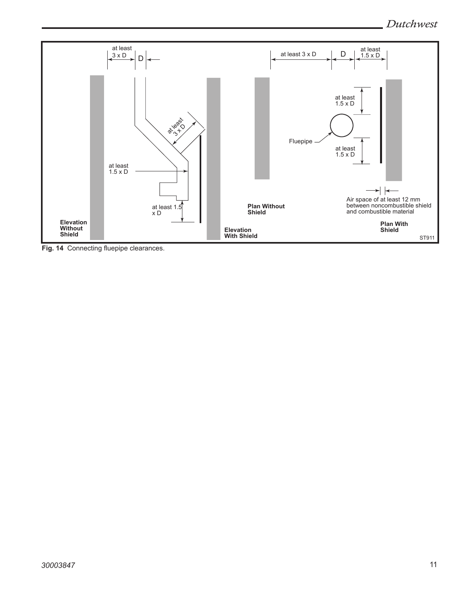

Fig. 14 Connecting fluepipe clearances.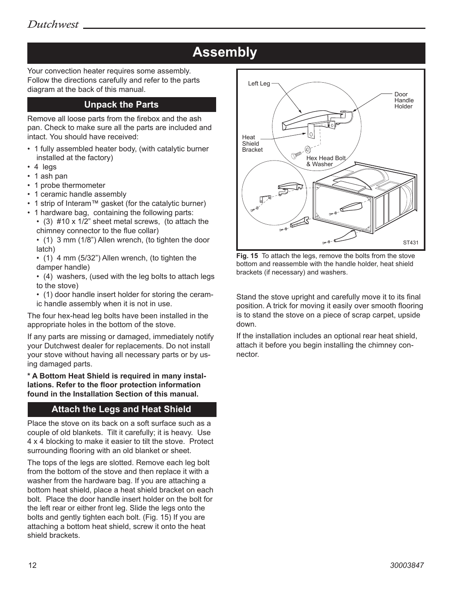# **Assembly**

Your convection heater requires some assembly. Follow the directions carefully and refer to the parts diagram at the back of this manual.

### **Unpack the Parts**

Remove all loose parts from the firebox and the ash pan. Check to make sure all the parts are included and intact. You should have received:

- 1 fully assembled heater body, (with catalytic burner installed at the factory)
- 4 legs
- 1 ash pan
- 1 probe thermometer
- 1 ceramic handle assembly
- 1 strip of Interam™ gasket (for the catalytic burner)
- 1 hardware bag, containing the following parts:
- (3) #10 x 1/2" sheet metal screws, (to attach the chimney connector to the flue collar)

 • (1) 3 mm (1/8") Allen wrench, (to tighten the door latch)

 • (1) 4 mm (5/32") Allen wrench, (to tighten the damper handle)

 • (4) washers, (used with the leg bolts to attach legs to the stove)

 • (1) door handle insert holder for storing the ceramic handle assembly when it is not in use.

The four hex-head leg bolts have been installed in the appropriate holes in the bottom of the stove.

If any parts are missing or damaged, immediately notify your Dutchwest dealer for replacements. Do not install your stove without having all necessary parts or by using damaged parts.

**\* A Bottom Heat Shield is required in many installations. Refer to the floor protection information found in the Installation Section of this manual.** 

## **Attach the Legs and Heat Shield**

Place the stove on its back on a soft surface such as a couple of old blankets. Tilt it carefully; it is heavy. Use 4 x 4 blocking to make it easier to tilt the stove. Protect surrounding flooring with an old blanket or sheet.

The tops of the legs are slotted. Remove each leg bolt from the bottom of the stove and then replace it with a washer from the hardware bag. If you are attaching a bottom heat shield, place a heat shield bracket on each bolt. Place the door handle insert holder on the bolt for the left rear or either front leg. Slide the legs onto the bolts and gently tighten each bolt. (Fig. 15) If you are attaching a bottom heat shield, screw it onto the heat shield brackets.



**Fig. 15** To attach the legs, remove the bolts from the stove bottom and reassemble with the handle holder, heat shield brackets (if necessary) and washers.

dutchwest Stand the stove upright and carefully move it to its final position. A trick for moving it easily over smooth flooring is to stand the stove on a piece of scrap carpet, upside down.

If the installation includes an optional rear heat shield, attach it before you begin installing the chimney connector.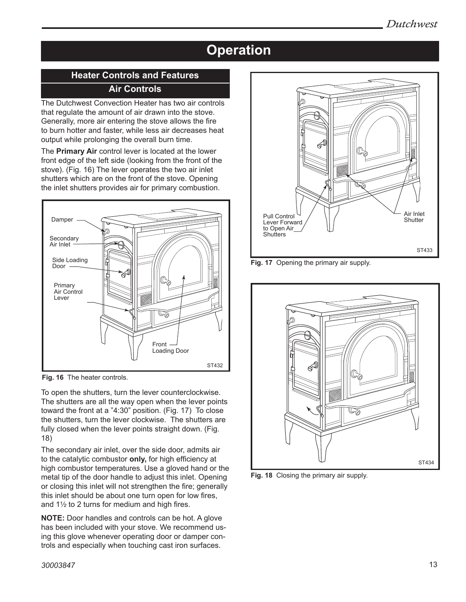# **Operation**

## **Heater Controls and Features Air Controls**

The Dutchwest Convection Heater has two air controls that regulate the amount of air drawn into the stove. Generally, more air entering the stove allows the fire to burn hotter and faster, while less air decreases heat output while prolonging the overall burn time.

The **Primary Air** control lever is located at the lower front edge of the left side (looking from the front of the stove). (Fig. 16) The lever operates the two air inlet shutters which are on the front of the stove. Opening the inlet shutters provides air for primary combustion.



**Fig. 16** The heater controls.

To open the shutters, turn the lever counterclockwise. The shutters are all the way open when the lever points toward the front at a  $"4:30"$  position. (Fig. 17) To close the shutters, turn the lever clockwise. The shutters are me shutters, turn the lever clockwise. The shutters are<br>fully closed when the lever points straight down. (Fig. 18) he chaight ach

The secondary air inlet, over the side door, admits air to the catalytic combustor **only,** for high efficiency at high combustor temperatures. Use a gloved hand or the metal tip of the door handle to adjust this inlet. Opening or closing this inlet will not strengthen the fire; generally this inlet should be about one turn open for low fires, and  $1\frac{1}{2}$  to 2 turns for medium and high fires.

**NOTE:** Door handles and controls can be hot. A glove has been included with your stove. We recommend using this glove whenever operating door or damper controls and especially when touching cast iron surfaces.



**Fig. 17** Opening the primary air supply.



**Fig. 18** Closing the primary air supply.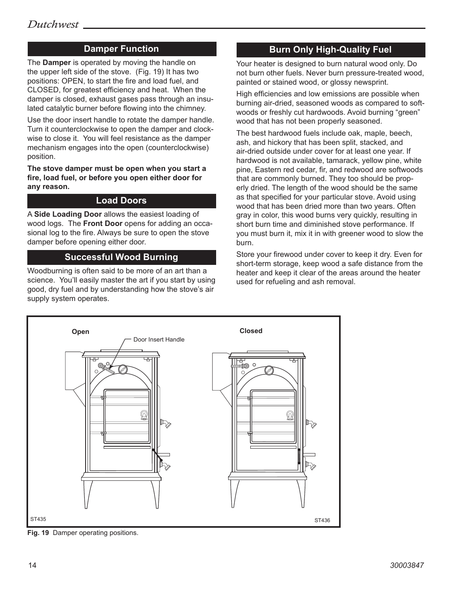### **Damper Function**

The **Damper** is operated by moving the handle on the upper left side of the stove. (Fig. 19) It has two positions: OPEN, to start the fire and load fuel, and CLOSED, for greatest efficiency and heat. When the damper is closed, exhaust gases pass through an insulated catalytic burner before flowing into the chimney.

Use the door insert handle to rotate the damper handle. Turn it counterclockwise to open the damper and clockwise to close it. You will feel resistance as the damper mechanism engages into the open (counterclockwise) position.

**The stove damper must be open when you start a fire, load fuel, or before you open either door for any reason.**

#### **Load Doors**

A **Side Loading Door** allows the easiest loading of wood logs. The **Front Door** opens for adding an occasional log to the fire. Always be sure to open the stove damper before opening either door.

#### **Successful Wood Burning**

Woodburning is often said to be more of an art than a science. You'll easily master the art if you start by using good, dry fuel and by understanding how the stove's air supply system operates.

## **Burn Only High-Quality Fuel**

Your heater is designed to burn natural wood only. Do not burn other fuels. Never burn pressure-treated wood, painted or stained wood, or glossy newsprint.

High efficiencies and low emissions are possible when burning air-dried, seasoned woods as compared to softwoods or freshly cut hardwoods. Avoid burning "green" wood that has not been properly seasoned.

The best hardwood fuels include oak, maple, beech, ash, and hickory that has been split, stacked, and air-dried outside under cover for at least one year. If hardwood is not available, tamarack, yellow pine, white pine, Eastern red cedar, fir, and redwood are softwoods that are commonly burned. They too should be properly dried. The length of the wood should be the same as that specified for your particular stove. Avoid using wood that has been dried more than two years. Often gray in color, this wood burns very quickly, resulting in short burn time and diminished stove performance. If you must burn it, mix it in with greener wood to slow the burn.

Store your firewood under cover to keep it dry. Even for short-term storage, keep wood a safe distance from the heater and keep it clear of the areas around the heater used for refueling and ash removal.



Fig. 19 Damper operating positions.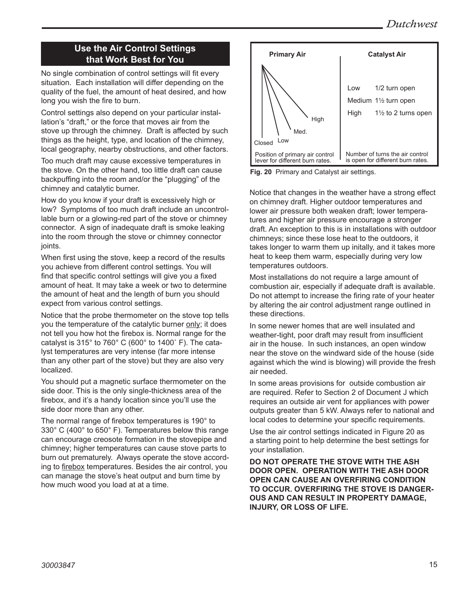## **Use the Air Control Settings that Work Best for You**

No single combination of control settings will fit every situation. Each installation will differ depending on the quality of the fuel, the amount of heat desired, and how long you wish the fire to burn.

Control settings also depend on your particular installation's "draft," or the force that moves air from the stove up through the chimney. Draft is affected by such things as the height, type, and location of the chimney, local geography, nearby obstructions, and other factors.

Too much draft may cause excessive temperatures in the stove. On the other hand, too little draft can cause backpuffing into the room and/or the "plugging" of the chimney and catalytic burner.

How do you know if your draft is excessively high or low? Symptoms of too much draft include an uncontrollable burn or a glowing-red part of the stove or chimney connector. A sign of inadequate draft is smoke leaking into the room through the stove or chimney connector joints.

When first using the stove, keep a record of the results you achieve from different control settings. You will find that specific control settings will give you a fixed amount of heat. It may take a week or two to determine the amount of heat and the length of burn you should expect from various control settings.

Notice that the probe thermometer on the stove top tells you the temperature of the catalytic burner only; it does not tell you how hot the firebox is. Normal range for the catalyst is 315° to 760° C (600° to 1400˚ F). The catalyst temperatures are very intense (far more intense than any other part of the stove) but they are also very localized.

You should put a magnetic surface thermometer on the side door. This is the only single-thickness area of the firebox, and it's a handy location since you'll use the side door more than any other.

The normal range of firebox temperatures is 190° to 330° C (400° to 650° F). Temperatures below this range can encourage creosote formation in the stovepipe and chimney; higher temperatures can cause stove parts to burn out prematurely. Always operate the stove according to firebox temperatures. Besides the air control, you can manage the stove's heat output and burn time by how much wood you load at at a time.



**Fig. 20** Primary and Catalyst air settings.

Notice that changes in the weather have a strong effect on chimney draft. Higher outdoor temperatures and lower air pressure both weaken draft; lower temperatures and higher air pressure encourage a stronger draft. An exception to this is in installations with outdoor chimneys; since these lose heat to the outdoors, it takes longer to warm them up initally, and it takes more heat to keep them warm, especially during very low temperatures outdoors.

Most installations do not require a large amount of combustion air, especially if adequate draft is available. Do not attempt to increase the firing rate of your heater by altering the air control adjustment range outlined in these directions.

In some newer homes that are well insulated and weather-tight, poor draft may result from insufficient air in the house. In such instances, an open window near the stove on the windward side of the house (side against which the wind is blowing) will provide the fresh air needed.

In some areas provisions for outside combustion air are required. Refer to Section 2 of Document J which requires an outside air vent for appliances with power outputs greater than 5 kW. Always refer to national and local codes to determine your specific requirements.

Use the air control settings indicated in Figure 20 as a starting point to help determine the best settings for your installation.

**DO NOT OPERATE THE STOVE WITH THE ASH DOOR OPEN. OPERATION WITH THE ASH DOOR OPEN CAN CAUSE AN OVERFIRING CONDITION TO OCCUR. OVERFIRING THE STOVE IS DANGER-OUS AND CAN RESULT IN PROPERTY DAMAGE, INJURY, OR LOSS OF LIFE.**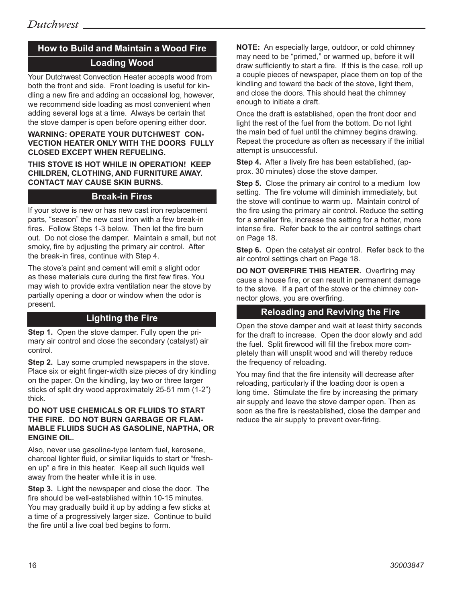# **How to Build and Maintain a Wood Fire Loading Wood**

Your Dutchwest Convection Heater accepts wood from both the front and side. Front loading is useful for kindling a new fire and adding an occasional log, however, we recommend side loading as most convenient when adding several logs at a time. Always be certain that the stove damper is open before opening either door.

#### **WARNING: OPERATE YOUR DUTCHWEST CON-VECTION HEATER ONLY WITH THE DOORS FULLY CLOSED EXCEPT WHEN REFUELING.**

**THIS STOVE IS HOT WHILE IN OPERATION! KEEP CHILDREN, CLOTHING, AND FURNITURE AWAY. CONTACT MAY CAUSE SKIN BURNS.**

### **Break-in Fires**

If your stove is new or has new cast iron replacement parts, "season" the new cast iron with a few break-in fires. Follow Steps 1-3 below. Then let the fire burn out. Do not close the damper. Maintain a small, but not smoky, fire by adjusting the primary air control. After the break-in fires, continue with Step 4.

The stove's paint and cement will emit a slight odor as these materials cure during the first few fires. You may wish to provide extra ventilation near the stove by partially opening a door or window when the odor is present.

## **Lighting the Fire**

**Step 1.** Open the stove damper. Fully open the primary air control and close the secondary (catalyst) air control.

**Step 2.** Lay some crumpled newspapers in the stove. Place six or eight finger-width size pieces of dry kindling on the paper. On the kindling, lay two or three larger sticks of split dry wood approximately 25-51 mm (1-2") thick.

#### **DO NOT USE CHEMICALS OR FLUIDS TO START THE FIRE. DO NOT BURN GARBAGE OR FLAM-MABLE FLUIDS SUCH AS GASOLINE, NAPTHA, OR ENGINE OIL.**

Also, never use gasoline-type lantern fuel, kerosene, charcoal lighter fluid, or similar liquids to start or "freshen up" a fire in this heater. Keep all such liquids well away from the heater while it is in use.

**Step 3.** Light the newspaper and close the door. The fire should be well-established within 10-15 minutes. You may gradually build it up by adding a few sticks at a time of a progressively larger size. Continue to build the fire until a live coal bed begins to form.

**NOTE:** An especially large, outdoor, or cold chimney may need to be "primed," or warmed up, before it will draw sufficiently to start a fire. If this is the case, roll up a couple pieces of newspaper, place them on top of the kindling and toward the back of the stove, light them, and close the doors. This should heat the chimney enough to initiate a draft.

Once the draft is established, open the front door and light the rest of the fuel from the bottom. Do not light the main bed of fuel until the chimney begins drawing. Repeat the procedure as often as necessary if the initial attempt is unsuccessful.

**Step 4.** After a lively fire has been established, (approx. 30 minutes) close the stove damper.

**Step 5.** Close the primary air control to a medium low setting. The fire volume will diminish immediately, but the stove will continue to warm up. Maintain control of the fire using the primary air control. Reduce the setting for a smaller fire, increase the setting for a hotter, more intense fire. Refer back to the air control settings chart on Page 18.

**Step 6.** Open the catalyst air control. Refer back to the air control settings chart on Page 18.

**DO NOT OVERFIRE THIS HEATER.** Overfiring may cause a house fire, or can result in permanent damage to the stove. If a part of the stove or the chimney connector glows, you are overfiring.

#### **Reloading and Reviving the Fire**

Open the stove damper and wait at least thirty seconds for the draft to increase. Open the door slowly and add the fuel. Split firewood will fill the firebox more completely than will unsplit wood and will thereby reduce the frequency of reloading.

You may find that the fire intensity will decrease after reloading, particularly if the loading door is open a long time. Stimulate the fire by increasing the primary air supply and leave the stove damper open. Then as soon as the fire is reestablished, close the damper and reduce the air supply to prevent over-firing.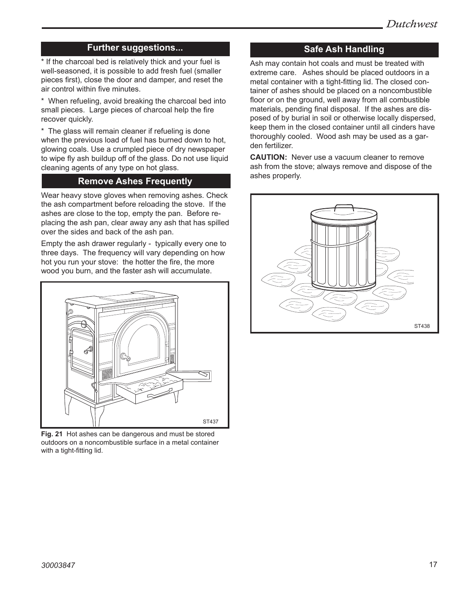#### **Further suggestions...**

\* If the charcoal bed is relatively thick and your fuel is well-seasoned, it is possible to add fresh fuel (smaller pieces first), close the door and damper, and reset the air control within five minutes.

\* When refueling, avoid breaking the charcoal bed into small pieces. Large pieces of charcoal help the fire recover quickly.

\* The glass will remain cleaner if refueling is done when the previous load of fuel has burned down to hot, glowing coals. Use a crumpled piece of dry newspaper to wipe fly ash buildup off of the glass. Do not use liquid cleaning agents of any type on hot glass.

#### **Remove Ashes Frequently**

Wear heavy stove gloves when removing ashes. Check the ash compartment before reloading the stove. If the ashes are close to the top, empty the pan. Before replacing the ash pan, clear away any ash that has spilled over the sides and back of the ash pan.

Empty the ash drawer regularly - typically every one to three days. The frequency will vary depending on how hot you run your stove: the hotter the fire, the more wood you burn, and the faster ash will accumulate.



**Fig. 21** Hot ashes can be dangerous and must be stored outdoors on a noncombustible surface in a metal container with a tight-fitting lid.

## **Safe Ash Handling**

Ash may contain hot coals and must be treated with extreme care. Ashes should be placed outdoors in a metal container with a tight-fitting lid. The closed container of ashes should be placed on a noncombustible floor or on the ground, well away from all combustible materials, pending final disposal. If the ashes are disposed of by burial in soil or otherwise locally dispersed, keep them in the closed container until all cinders have thoroughly cooled. Wood ash may be used as a garden fertilizer.

**CAUTION:** Never use a vacuum cleaner to remove ash from the stove; always remove and dispose of the ashes properly.

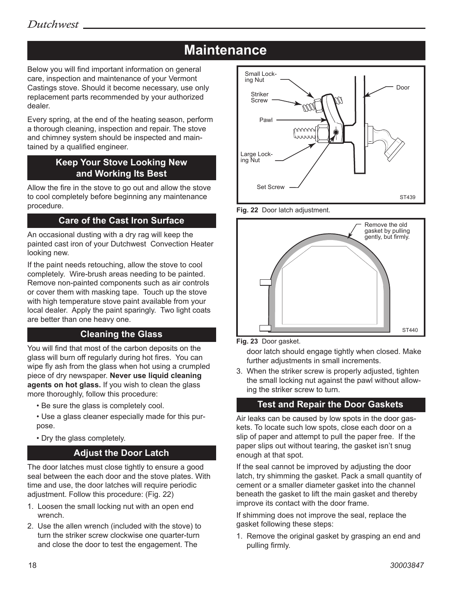# **Maintenance**

Below you will find important information on general care, inspection and maintenance of your Vermont Castings stove. Should it become necessary, use only replacement parts recommended by your authorized dealer.

Every spring, at the end of the heating season, perform a thorough cleaning, inspection and repair. The stove and chimney system should be inspected and maintained by a qualified engineer.

## **Keep Your Stove Looking New and Working Its Best**

Allow the fire in the stove to go out and allow the stove to cool completely before beginning any maintenance procedure.

## **Care of the Cast Iron Surface**

An occasional dusting with a dry rag will keep the painted cast iron of your Dutchwest Convection Heater looking new.

If the paint needs retouching, allow the stove to cool completely. Wire-brush areas needing to be painted. Remove non-painted components such as air controls or cover them with masking tape. Touch up the stove with high temperature stove paint available from your local dealer. Apply the paint sparingly. Two light coats are better than one heavy one.

## **Cleaning the Glass**

You will find that most of the carbon deposits on the glass will burn off regularly during hot fires. You can wipe fly ash from the glass when hot using a crumpled piece of dry newspaper. **Never use liquid cleaning agents on hot glass.** If you wish to clean the glass more thoroughly, follow this procedure:

- Be sure the glass is completely cool.
- Use a glass cleaner especially made for this purpose.
- Dry the glass completely.

#### **Adjust the Door Latch**

The door latches must close tightly to ensure a good seal between the each door and the stove plates. With time and use, the door latches will require periodic adjustment. Follow this procedure: (Fig. 22)

- 1. Loosen the small locking nut with an open end wrench.
- 2. Use the allen wrench (included with the stove) to turn the striker screw clockwise one quarter-turn and close the door to test the engagement. The







**Fig. 23** Door gasket.

door latch should engage tightly when closed. Make further adjustments in small increments.

3. When the striker screw is properly adjusted, tighten the small locking nut against the pawl without allow-<br>ing the striker screw to turn. ing the striker screw to turn.

# **Test and Repair the Door Gaskets**

**Air leaks can be caused by low spots in the door gas**kets. To locate such low spots, close each door on a slip of paper and attempt to pull the paper free. If the paper slips out without tearing, the gasket isn't snug enough at that spot.

If the seal cannot be improved by adjusting the door latch, try shimming the gasket. Pack a small quantity of cement or a smaller diameter gasket into the channel beneath the gasket to lift the main gasket and thereby improve its contact with the door frame.

If shimming does not improve the seal, replace the gasket following these steps:

1. Remove the original gasket by grasping an end and pulling firmly.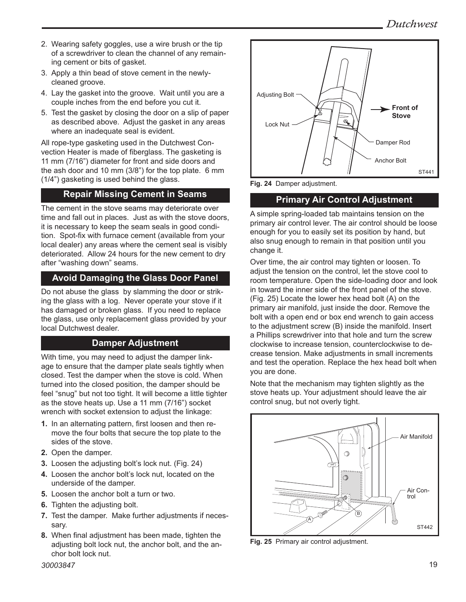- 2. Wearing safety goggles, use a wire brush or the tip of a screwdriver to clean the channel of any remaining cement or bits of gasket.
- 3. Apply a thin bead of stove cement in the newlycleaned groove.
- 4. Lay the gasket into the groove. Wait until you are a couple inches from the end before you cut it.
- 5. Test the gasket by closing the door on a slip of paper as described above. Adjust the gasket in any areas where an inadequate seal is evident.

All rope-type gasketing used in the Dutchwest Convection Heater is made of fiberglass. The gasketing is 11 mm (7/16") diameter for front and side doors and the ash door and 10 mm (3/8") for the top plate. 6 mm (1/4") gasketing is used behind the glass.

## **Repair Missing Cement in Seams**

The cement in the stove seams may deteriorate over time and fall out in places. Just as with the stove doors, it is necessary to keep the seam seals in good condition. Spot-fix with furnace cement (available from your local dealer) any areas where the cement seal is visibly deteriorated. Allow 24 hours for the new cement to dry after "washing down" seams.

## **Avoid Damaging the Glass Door Panel**

Do not abuse the glass by slamming the door or striking the glass with a log. Never operate your stove if it has damaged or broken glass. If you need to replace the glass, use only replacement glass provided by your local Dutchwest dealer.

## **Damper Adjustment**

With time, you may need to adjust the damper linkage to ensure that the damper plate seals tightly when closed. Test the damper when the stove is cold. When turned into the closed position, the damper should be feel "snug" but not too tight. It will become a little tighter as the stove heats up. Use a 11 mm (7/16") socket wrench with socket extension to adjust the linkage:

- **1.** In an alternating pattern, first loosen and then remove the four bolts that secure the top plate to the sides of the stove.
- **2.** Open the damper.
- **3.** Loosen the adjusting bolt's lock nut. (Fig. 24)
- **4.** Loosen the anchor bolt's lock nut, located on the underside of the damper.
- **5.** Loosen the anchor bolt a turn or two.
- **6.** Tighten the adjusting bolt.
- **7.** Test the damper. Make further adjustments if necessary.
- **8.** When final adjustment has been made, tighten the adjusting bolt lock nut, the anchor bolt, and the anchor bolt lock nut.



**Fig. 24** Damper adjustment.

## **Primary Air Control Adjustment**

A simple spring-loaded tab maintains tension on the primary air control lever. The air control should be loose enough for you to easily set its position by hand, but also snug enough to remain in that position until you change it.

Over time, the air control may tighten or loosen. To adjust the tension on the control, let the stove cool to room temperature. Open the side-loading door and look in toward the inner side of the front panel of the stove. (Fig. 25) Locate the lower hex head bolt (A) on the primary air manifold, just inside the door. Remove the bolt with a open end or box end wrench to gain access to the adjustment screw (B) inside the manifold. Insert a Phillips screwdriver into that hole and turn the screw clockwise to increase tension, counterclockwise to decrease tension. Make adjustments in small increments and test the operation. Replace the hex head bolt when you are done.

Note that the mechanism may tighten slightly as the stove heats up. Your adjustment should leave the air control snug, but not overly tight.



**Fig. 25** Primary air control adjustment.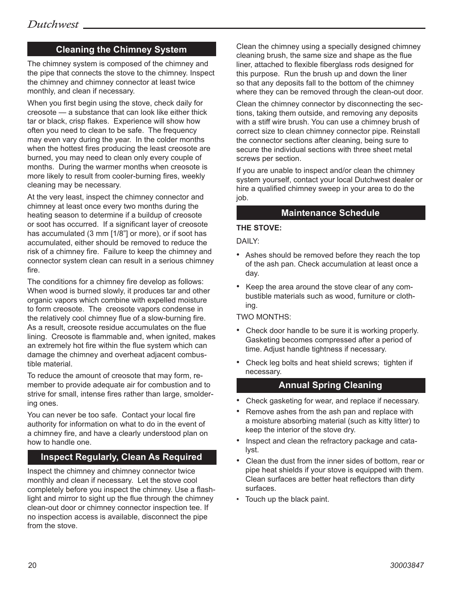## **Cleaning the Chimney System**

The chimney system is composed of the chimney and the pipe that connects the stove to the chimney. Inspect the chimney and chimney connector at least twice monthly, and clean if necessary.

When you first begin using the stove, check daily for creosote — a substance that can look like either thick tar or black, crisp flakes. Experience will show how often you need to clean to be safe. The frequency may even vary during the year. In the colder months when the hottest fires producing the least creosote are burned, you may need to clean only every couple of months. During the warmer months when creosote is more likely to result from cooler-burning fires, weekly cleaning may be necessary.

At the very least, inspect the chimney connector and chimney at least once every two months during the heating season to determine if a buildup of creosote or soot has occurred. If a significant layer of creosote has accumulated (3 mm [1/8"] or more), or if soot has accumulated, either should be removed to reduce the risk of a chimney fire. Failure to keep the chimney and connector system clean can result in a serious chimney fire.

The conditions for a chimney fire develop as follows: When wood is burned slowly, it produces tar and other organic vapors which combine with expelled moisture to form creosote. The creosote vapors condense in the relatively cool chimney flue of a slow-burning fire. As a result, creosote residue accumulates on the flue lining. Creosote is flammable and, when ignited, makes an extremely hot fire within the flue system which can damage the chimney and overheat adjacent combustible material.

To reduce the amount of creosote that may form, remember to provide adequate air for combustion and to strive for small, intense fires rather than large, smoldering ones.

You can never be too safe. Contact your local fire authority for information on what to do in the event of a chimney fire, and have a clearly understood plan on how to handle one.

## **Inspect Regularly, Clean As Required**

Inspect the chimney and chimney connector twice monthly and clean if necessary. Let the stove cool completely before you inspect the chimney. Use a flashlight and mirror to sight up the flue through the chimney clean-out door or chimney connector inspection tee. If no inspection access is available, disconnect the pipe from the stove.

Clean the chimney using a specially designed chimney cleaning brush, the same size and shape as the flue liner, attached to flexible fiberglass rods designed for this purpose. Run the brush up and down the liner so that any deposits fall to the bottom of the chimney where they can be removed through the clean-out door.

Clean the chimney connector by disconnecting the sections, taking them outside, and removing any deposits with a stiff wire brush. You can use a chimney brush of correct size to clean chimney connector pipe. Reinstall the connector sections after cleaning, being sure to secure the individual sections with three sheet metal screws per section.

If you are unable to inspect and/or clean the chimney system yourself, contact your local Dutchwest dealer or hire a qualified chimney sweep in your area to do the job.

#### **Maintenance Schedule**

#### **THE STOVE:**

DAILY:

- Ashes should be removed before they reach the top of the ash pan. Check accumulation at least once a day.
- Keep the area around the stove clear of any combustible materials such as wood, furniture or clothing.

TWO MONTHS:

- Check door handle to be sure it is working properly. Gasketing becomes compressed after a period of time. Adjust handle tightness if necessary.
- Check leg bolts and heat shield screws; tighten if necessary.

#### **Annual Spring Cleaning**

- Check gasketing for wear, and replace if necessary.
- Remove ashes from the ash pan and replace with a moisture absorbing material (such as kitty litter) to keep the interior of the stove dry.
- Inspect and clean the refractory package and catalyst.
- Clean the dust from the inner sides of bottom, rear or pipe heat shields if your stove is equipped with them. Clean surfaces are better heat reflectors than dirty surfaces.
- Touch up the black paint.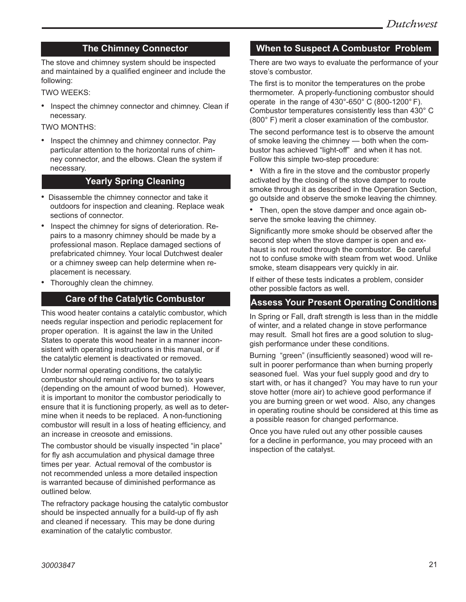### **The Chimney Connector**

The stove and chimney system should be inspected and maintained by a qualified engineer and include the following:

TWO WEEKS:

• Inspect the chimney connector and chimney. Clean if necessary.

TWO MONTHS:

• Inspect the chimney and chimney connector. Pay particular attention to the horizontal runs of chimney connector, and the elbows. Clean the system if necessary.

### **Yearly Spring Cleaning**

- Disassemble the chimney connector and take it outdoors for inspection and cleaning. Replace weak sections of connector.
- Inspect the chimney for signs of deterioration. Repairs to a masonry chimney should be made by a professional mason. Replace damaged sections of prefabricated chimney. Your local Dutchwest dealer or a chimney sweep can help determine when replacement is necessary.
- Thoroughly clean the chimney.

### **Care of the Catalytic Combustor**

This wood heater contains a catalytic combustor, which needs regular inspection and periodic replacement for proper operation. It is against the law in the United States to operate this wood heater in a manner inconsistent with operating instructions in this manual, or if the catalytic element is deactivated or removed.

Under normal operating conditions, the catalytic combustor should remain active for two to six years (depending on the amount of wood burned). However, it is important to monitor the combustor periodically to ensure that it is functioning properly, as well as to determine when it needs to be replaced. A non-functioning combustor will result in a loss of heating efficiency, and an increase in creosote and emissions.

The combustor should be visually inspected "in place" for fly ash accumulation and physical damage three times per year. Actual removal of the combustor is not recommended unless a more detailed inspection is warranted because of diminished performance as outlined below.

The refractory package housing the catalytic combustor should be inspected annually for a build-up of fly ash and cleaned if necessary. This may be done during examination of the catalytic combustor.

#### **When to Suspect A Combustor Problem**

There are two ways to evaluate the performance of your stove's combustor.

The first is to monitor the temperatures on the probe thermometer. A properly-functioning combustor should operate in the range of 430°-650° C (800-1200° F). Combustor temperatures consistently less than 430° C (800° F) merit a closer examination of the combustor.

The second performance test is to observe the amount of smoke leaving the chimney — both when the combustor has achieved "light-off" and when it has not. Follow this simple two-step procedure:

- With a fire in the stove and the combustor properly activated by the closing of the stove damper to route smoke through it as described in the Operation Section, go outside and observe the smoke leaving the chimney.
- Then, open the stove damper and once again observe the smoke leaving the chimney.

Significantly more smoke should be observed after the second step when the stove damper is open and exhaust is not routed through the combustor. Be careful not to confuse smoke with steam from wet wood. Unlike smoke, steam disappears very quickly in air.

If either of these tests indicates a problem, consider other possible factors as well.

#### **Assess Your Present Operating Conditions**

In Spring or Fall, draft strength is less than in the middle of winter, and a related change in stove performance may result. Small hot fires are a good solution to sluggish performance under these conditions.

Burning "green" (insufficiently seasoned) wood will result in poorer performance than when burning properly seasoned fuel. Was your fuel supply good and dry to start with, or has it changed? You may have to run your stove hotter (more air) to achieve good performance if you are burning green or wet wood. Also, any changes in operating routine should be considered at this time as a possible reason for changed performance.

Once you have ruled out any other possible causes for a decline in performance, you may proceed with an inspection of the catalyst.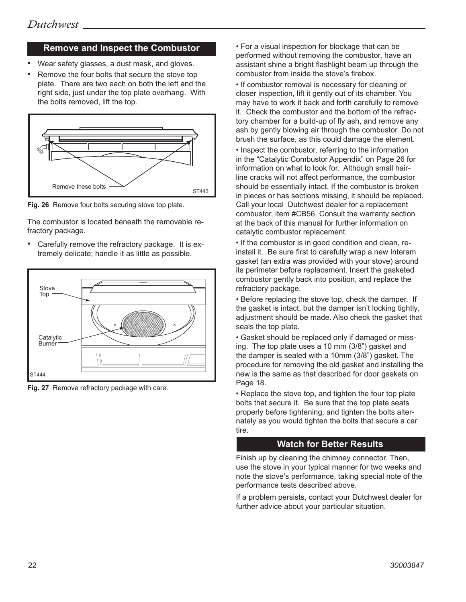#### **Remove and Inspect the Combustor**

- Wear safety glasses, a dust mask, and gloves.
- Remove the four bolts that secure the stove top plate. There are two each on both the left and the right side, just under the top plate overhang. With the bolts removed, lift the top.



**Fig. 26** Remove four bolts securing stove top plate.

The combustor is located beneath the removable refractory package.

• Carefully remove the refractory package. It is extremely delicate; handle it as little as possible.



**Fig. 27** Remove refractory package with care.

• For a visual inspection for blockage that can be performed without removing the combustor, have an assistant shine a bright flashlight beam up through the combustor from inside the stove's firebox.

• If combustor removal is necessary for cleaning or closer inspection, lift it gently out of its chamber. You may have to work it back and forth carefully to remove it. Check the combustor and the bottom of the refractory chamber for a build-up of fly ash, and remove any ash by gently blowing air through the combustor. Do not brush the surface, as this could damage the element.

• Inspect the combustor, referring to the information in the "Catalytic Combustor Appendix" on Page 26 for information on what to look for. Although small hairline cracks will not affect performance, the combustor should be essentially intact. If the combustor is broken in pieces or has sections missing, it should be replaced. Call your local Dutchwest dealer for a replacement combustor, item #CB56. Consult the warranty section at the back of this manual for further information on catalytic combustor replacement.

• If the combustor is in good condition and clean, reinstall it. Be sure first to carefully wrap a new Interam gasket (an extra was provided with your stove) around its perimeter before replacement. Insert the gasketed combustor gently back into position, and replace the refractory package.

• Before replacing the stove top, check the damper. If the gasket is intact, but the damper isn't locking tightly, adjustment should be made. Also check the gasket that seals the top plate.

• Gasket should be replaced only if damaged or missing. The top plate uses a 10 mm (3/8") gasket and the damper is sealed with a 10mm (3/8") gasket. The procedure for removing the old gasket and installing the new is the same as that described for door gaskets on Page 18.

• Replace the stove top, and tighten the four top plate bolts that secure it. Be sure that the top plate seats properly before tightening, and tighten the bolts alternately as you would tighten the bolts that secure a car tire.

#### **Watch for Better Results**

Finish up by cleaning the chimney connector. Then, use the stove in your typical manner for two weeks and note the stove's performance, taking special note of the performance tests described above.

If a problem persists, contact your Dutchwest dealer for further advice about your particular situation.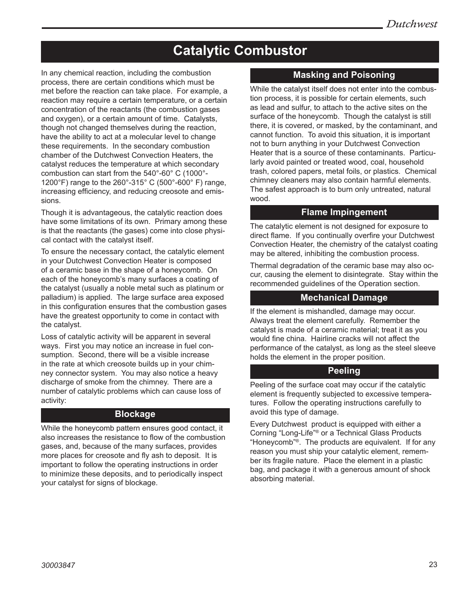# **Catalytic Combustor**

In any chemical reaction, including the combustion process, there are certain conditions which must be met before the reaction can take place. For example, a reaction may require a certain temperature, or a certain concentration of the reactants (the combustion gases and oxygen), or a certain amount of time. Catalysts, though not changed themselves during the reaction, have the ability to act at a molecular level to change these requirements. In the secondary combustion chamber of the Dutchwest Convection Heaters, the catalyst reduces the temperature at which secondary combustion can start from the 540°-60° C (1000°- 1200°F) range to the 260°-315° C (500°-600° F) range, increasing efficiency, and reducing creosote and emissions.

Though it is advantageous, the catalytic reaction does have some limitations of its own. Primary among these is that the reactants (the gases) come into close physical contact with the catalyst itself.

To ensure the necessary contact, the catalytic element in your Dutchwest Convection Heater is composed of a ceramic base in the shape of a honeycomb. On each of the honeycomb's many surfaces a coating of the catalyst (usually a noble metal such as platinum or palladium) is applied. The large surface area exposed in this configuration ensures that the combustion gases have the greatest opportunity to come in contact with the catalyst.

Loss of catalytic activity will be apparent in several ways. First you may notice an increase in fuel consumption. Second, there will be a visible increase in the rate at which creosote builds up in your chimney connector system. You may also notice a heavy discharge of smoke from the chimney. There are a number of catalytic problems which can cause loss of activity:

#### **Blockage**

While the honeycomb pattern ensures good contact, it also increases the resistance to flow of the combustion gases, and, because of the many surfaces, provides more places for creosote and fly ash to deposit. It is important to follow the operating instructions in order to minimize these deposits, and to periodically inspect your catalyst for signs of blockage.

#### **Masking and Poisoning**

While the catalyst itself does not enter into the combustion process, it is possible for certain elements, such as lead and sulfur, to attach to the active sites on the surface of the honeycomb. Though the catalyst is still there, it is covered, or masked, by the contaminant, and cannot function. To avoid this situation, it is important not to burn anything in your Dutchwest Convection Heater that is a source of these contaminants. Particularly avoid painted or treated wood, coal, household trash, colored papers, metal foils, or plastics. Chemical chimney cleaners may also contain harmful elements. The safest approach is to burn only untreated, natural wood.

#### **Flame Impingement**

The catalytic element is not designed for exposure to direct flame. If you continually overfire your Dutchwest Convection Heater, the chemistry of the catalyst coating may be altered, inhibiting the combustion process.

Thermal degradation of the ceramic base may also occur, causing the element to disintegrate. Stay within the recommended guidelines of the Operation section.

#### **Mechanical Damage**

If the element is mishandled, damage may occur. Always treat the element carefully. Remember the catalyst is made of a ceramic material; treat it as you would fine china. Hairline cracks will not affect the performance of the catalyst, as long as the steel sleeve holds the element in the proper position.

#### **Peeling**

Peeling of the surface coat may occur if the catalytic element is frequently subjected to excessive temperatures. Follow the operating instructions carefully to avoid this type of damage.

Every Dutchwest product is equipped with either a Corning "Long-Life"® or a Technical Glass Products "Honeycomb"®. The products are equivalent. If for any reason you must ship your catalytic element, remember its fragile nature. Place the element in a plastic bag, and package it with a generous amount of shock absorbing material.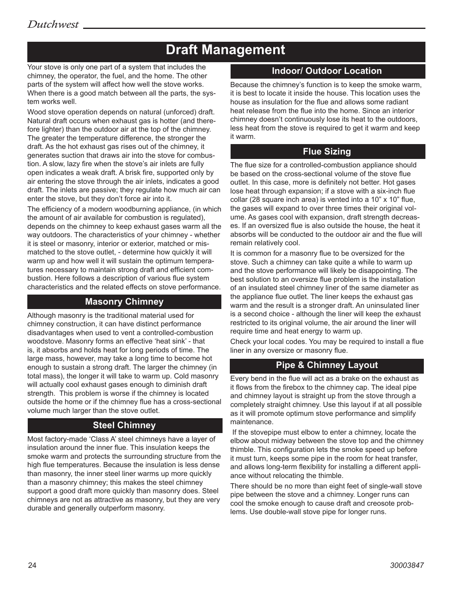# **Draft Management**

Your stove is only one part of a system that includes the chimney, the operator, the fuel, and the home. The other parts of the system will affect how well the stove works. When there is a good match between all the parts, the system works well.

Wood stove operation depends on natural (unforced) draft. Natural draft occurs when exhaust gas is hotter (and therefore lighter) than the outdoor air at the top of the chimney. The greater the temperature difference, the stronger the draft. As the hot exhaust gas rises out of the chimney, it generates suction that draws air into the stove for combustion. A slow, lazy fire when the stove's air inlets are fully open indicates a weak draft. A brisk fire, supported only by air entering the stove through the air inlets, indicates a good draft. The inlets are passive; they regulate how much air can enter the stove, but they don't force air into it.

The efficiency of a modern woodburning appliance, (in which the amount of air available for combustion is regulated), depends on the chimney to keep exhaust gases warm all the way outdoors. The characteristics of your chimney - whether it is steel or masonry, interior or exterior, matched or mismatched to the stove outlet, - determine how quickly it will warm up and how well it will sustain the optimum temperatures necessary to maintain strong draft and efficient combustion. Here follows a description of various flue system characteristics and the related effects on stove performance.

#### **Masonry Chimney**

Although masonry is the traditional material used for chimney construction, it can have distinct performance disadvantages when used to vent a controlled-combustion woodstove. Masonry forms an effective 'heat sink' - that is, it absorbs and holds heat for long periods of time. The large mass, however, may take a long time to become hot enough to sustain a strong draft. The larger the chimney (in total mass), the longer it will take to warm up. Cold masonry will actually cool exhaust gases enough to diminish draft strength. This problem is worse if the chimney is located outside the home or if the chimney flue has a cross-sectional volume much larger than the stove outlet.

## **Steel Chimney**

Most factory-made 'Class A' steel chimneys have a layer of insulation around the inner flue. This insulation keeps the smoke warm and protects the surrounding structure from the high flue temperatures. Because the insulation is less dense than masonry, the inner steel liner warms up more quickly than a masonry chimney; this makes the steel chimney support a good draft more quickly than masonry does. Steel chimneys are not as attractive as masonry, but they are very durable and generally outperform masonry.

### **Indoor/ Outdoor Location**

Because the chimney's function is to keep the smoke warm, it is best to locate it inside the house. This location uses the house as insulation for the flue and allows some radiant heat release from the flue into the home. Since an interior chimney doesn't continuously lose its heat to the outdoors, less heat from the stove is required to get it warm and keep it warm.

#### **Flue Sizing**

The flue size for a controlled-combustion appliance should be based on the cross-sectional volume of the stove flue outlet. In this case, more is definitely not better. Hot gases lose heat through expansion; if a stove with a six-inch flue collar (28 square inch area) is vented into a 10" x 10" flue, the gases will expand to over three times their original volume. As gases cool with expansion, draft strength decreases. If an oversized flue is also outside the house, the heat it absorbs will be conducted to the outdoor air and the flue will remain relatively cool.

It is common for a masonry flue to be oversized for the stove. Such a chimney can take quite a while to warm up and the stove performance will likely be disappointing. The best solution to an oversize flue problem is the installation of an insulated steel chimney liner of the same diameter as the appliance flue outlet. The liner keeps the exhaust gas warm and the result is a stronger draft. An uninsulated liner is a second choice - although the liner will keep the exhaust restricted to its original volume, the air around the liner will require time and heat energy to warm up.

Check your local codes. You may be required to install a flue liner in any oversize or masonry flue.

#### **Pipe & Chimney Layout**

Every bend in the flue will act as a brake on the exhaust as it flows from the firebox to the chimney cap. The ideal pipe and chimney layout is straight up from the stove through a completely straight chimney. Use this layout if at all possible as it will promote optimum stove performance and simplify maintenance.

 If the stovepipe must elbow to enter a chimney, locate the elbow about midway between the stove top and the chimney thimble. This configuration lets the smoke speed up before it must turn, keeps some pipe in the room for heat transfer, and allows long-term flexibility for installing a different appliance without relocating the thimble.

There should be no more than eight feet of single-wall stove pipe between the stove and a chimney. Longer runs can cool the smoke enough to cause draft and creosote problems. Use double-wall stove pipe for longer runs.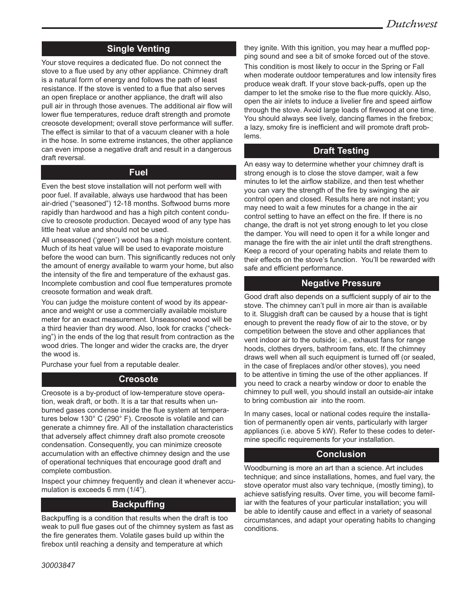### **Single Venting**

Your stove requires a dedicated flue. Do not connect the stove to a flue used by any other appliance. Chimney draft is a natural form of energy and follows the path of least resistance. If the stove is vented to a flue that also serves an open fireplace or another appliance, the draft will also pull air in through those avenues. The additional air flow will lower flue temperatures, reduce draft strength and promote creosote development; overall stove performance will suffer. The effect is similar to that of a vacuum cleaner with a hole in the hose. In some extreme instances, the other appliance can even impose a negative draft and result in a dangerous draft reversal.

#### **Fuel**

Even the best stove installation will not perform well with poor fuel. If available, always use hardwood that has been air-dried ("seasoned") 12-18 months. Softwood burns more rapidly than hardwood and has a high pitch content conducive to creosote production. Decayed wood of any type has little heat value and should not be used.

All unseasoned ('green') wood has a high moisture content. Much of its heat value will be used to evaporate moisture before the wood can burn. This significantly reduces not only the amount of energy available to warm your home, but also the intensity of the fire and temperature of the exhaust gas. Incomplete combustion and cool flue temperatures promote creosote formation and weak draft.

You can judge the moisture content of wood by its appearance and weight or use a commercially available moisture meter for an exact measurement. Unseasoned wood will be a third heavier than dry wood. Also, look for cracks ("checking") in the ends of the log that result from contraction as the wood dries. The longer and wider the cracks are, the dryer the wood is.

Purchase your fuel from a reputable dealer.

#### **Creosote**

Creosote is a by-product of low-temperature stove operation, weak draft, or both. It is a tar that results when unburned gases condense inside the flue system at temperatures below 130° C (290° F). Creosote is volatile and can generate a chimney fire. All of the installation characteristics that adversely affect chimney draft also promote creosote condensation. Consequently, you can minimize creosote accumulation with an effective chimney design and the use of operational techniques that encourage good draft and complete combustion.

Inspect your chimney frequently and clean it whenever accumulation is exceeds 6 mm (1/4").

#### **Backpuffing**

Backpuffing is a condition that results when the draft is too weak to pull flue gases out of the chimney system as fast as the fire generates them. Volatile gases build up within the firebox until reaching a density and temperature at which

they ignite. With this ignition, you may hear a muffled popping sound and see a bit of smoke forced out of the stove. This condition is most likely to occur in the Spring or Fall when moderate outdoor temperatures and low intensity fires produce weak draft. If your stove back-puffs, open up the damper to let the smoke rise to the flue more quickly. Also, open the air inlets to induce a livelier fire and speed airflow through the stove. Avoid large loads of firewood at one time. You should always see lively, dancing flames in the firebox; a lazy, smoky fire is inefficient and will promote draft problems.

### **Draft Testing**

An easy way to determine whether your chimney draft is strong enough is to close the stove damper, wait a few minutes to let the airflow stabilize, and then test whether you can vary the strength of the fire by swinging the air control open and closed. Results here are not instant; you may need to wait a few minutes for a change in the air control setting to have an effect on the fire. If there is no change, the draft is not yet strong enough to let you close the damper. You will need to open it for a while longer and manage the fire with the air inlet until the draft strengthens. Keep a record of your operating habits and relate them to their effects on the stove's function. You'll be rewarded with safe and efficient performance.

#### **Negative Pressure**

Good draft also depends on a sufficient supply of air to the stove. The chimney can't pull in more air than is available to it. Sluggish draft can be caused by a house that is tight enough to prevent the ready flow of air to the stove, or by competition between the stove and other appliances that vent indoor air to the outside; i.e., exhaust fans for range hoods, clothes dryers, bathroom fans, etc. If the chimney draws well when all such equipment is turned off (or sealed, in the case of fireplaces and/or other stoves), you need to be attentive in timing the use of the other appliances. If you need to crack a nearby window or door to enable the chimney to pull well, you should install an outside-air intake to bring combustion air into the room.

In many cases, local or national codes require the installation of permanently open air vents, particularly with larger appliances (i.e. above 5 kW). Refer to these codes to determine specific requirements for your installation.

#### **Conclusion**

Woodburning is more an art than a science. Art includes technique; and since installations, homes, and fuel vary, the stove operator must also vary technique, (mostly timing), to achieve satisfying results. Over time, you will become familiar with the features of your particular installation; you will be able to identify cause and effect in a variety of seasonal circumstances, and adapt your operating habits to changing conditions.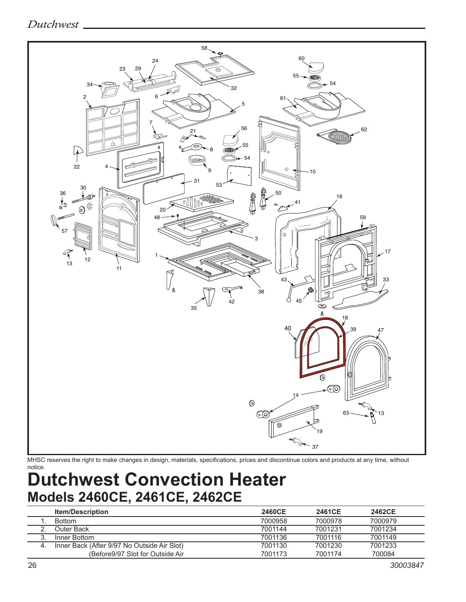## *Dutchwest*



MHSC reserves the right to make changes in design, materials, specifications, prices and discontinue colors and products at any time, without notice.

# **Dutchwest Convection Heater Models 2460CE, 2461CE, 2462CE**

|    | <b>Item/Description</b>                     | 2460CE  | 2461CE  | 2462CE  |
|----|---------------------------------------------|---------|---------|---------|
|    | <b>Bottom</b>                               | 7000958 | 7000978 | 7000979 |
|    | Outer Back:                                 | 7001144 | 7001231 | 7001234 |
|    | Inner Bottom                                | 7001136 | 7001116 | 7001149 |
| 4. | Inner Back (After 9/97 No Outside Air Slot) | 7001130 | 7001230 | 7001233 |
|    | (Before9/97 Slot for Outside Air)           | 7001173 | 7001174 | 700084  |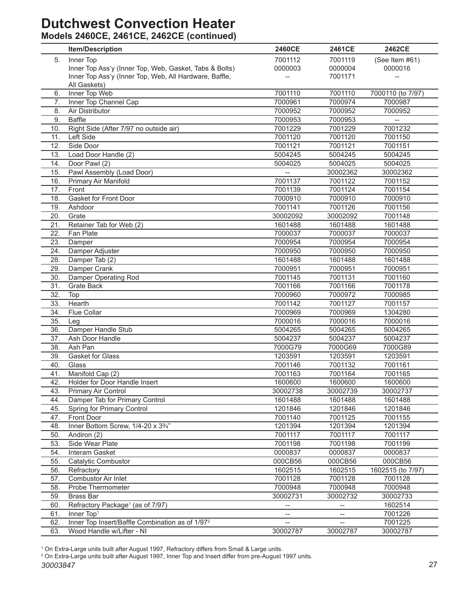# **Dutchwest Convection Heater**

# **Models 2460CE, 2461CE, 2462CE (continued)**

|     | <b>Item/Description</b>                                     | <b>2460CE</b>                     | <b>2461CE</b>            | 2462CE            |
|-----|-------------------------------------------------------------|-----------------------------------|--------------------------|-------------------|
| 5.  | Inner Top                                                   | 7001112                           | 7001119                  | (See Item #61)    |
|     | Inner Top Ass'y (Inner Top, Web, Gasket, Tabs & Bolts)      | 0000003                           | 0000004                  | 0000016           |
|     | Inner Top Ass'y (Inner Top, Web, All Hardware, Baffle,      |                                   | 7001171                  |                   |
|     | All Gaskets)                                                |                                   |                          |                   |
| 6.  | Inner Top Web                                               | 7001110                           | 7001110                  | 7000110 (to 7/97) |
| 7.  | Inner Top Channel Cap                                       | 7000961                           | 7000974                  | 7000987           |
| 8.  | Air Distributor                                             | 7000952                           | 7000952                  | 7000952           |
| 9.  | Baffle                                                      | 7000953                           | 7000953                  | $\overline{a}$    |
| 10. | Right Side (After 7/97 no outside air)                      | 7001229                           | 7001229                  | 7001232           |
| 11. | Left Side                                                   | 7001120                           | 7001120                  | 7001150           |
| 12. | Side Door                                                   | 7001121                           | 7001121                  | 7001151           |
| 13. | Load Door Handle (2)                                        | 5004245                           | 5004245                  | 5004245           |
| 14. | Door Pawl (2)                                               | 5004025                           | 5004025                  | 5004025           |
| 15. | Pawl Assembly (Load Door)                                   |                                   | 30002362                 | 30002362          |
| 16. | Primary Air Manifold                                        | 7001137                           | 7001122                  | 7001152           |
| 17. | Front                                                       | 7001139                           | 7001124                  | 7001154           |
| 18. | Gasket for Front Door                                       | 7000910                           | 7000910                  | 7000910           |
| 19. | Ashdoor                                                     | 7001141                           | 7001126                  | 7001156           |
| 20. | Grate                                                       | 30002092                          | 30002092                 | 7001148           |
| 21. | Retainer Tab for Web (2)                                    | 1601488                           | 1601488                  | 1601488           |
| 22. | Fan Plate                                                   | 7000037                           | 7000037                  | 7000037           |
| 23. | Damper                                                      | 7000954                           | 7000954                  | 7000954           |
| 24. | Damper Adjuster                                             | 7000950                           | 7000950                  | 7000950           |
| 28. | Damper Tab (2)                                              | 1601488                           | 1601488                  | 1601488           |
| 29. | Damper Crank                                                | 7000951                           | 7000951                  | 7000951           |
| 30. | Damper Operating Rod                                        | 7001145                           | 7001131                  | 7001160           |
| 31. | <b>Grate Back</b>                                           | 7001166                           | 7001166                  | 7001178           |
| 32. | Top                                                         | 7000960                           | 7000972                  | 7000985           |
| 33. | Hearth                                                      | 7001142                           | 7001127                  | 7001157           |
| 34. | <b>Flue Collar</b>                                          | 7000969                           | 7000969                  | 1304280           |
| 35. | Leg                                                         | 7000016                           | 7000016                  | 7000016           |
| 36. | Damper Handle Stub                                          | 5004265                           | 5004265                  | 5004265           |
| 37. | Ash Door Handle                                             | 5004237                           | 5004237                  | 5004237           |
| 38. | Ash Pan                                                     | 7000G79                           | 7000G69                  | 7000G89           |
| 39. | Gasket for Glass                                            | 1203591                           | 1203591                  | 1203591           |
| 40. | Glass                                                       | 7001146                           | 7001132                  | 7001161           |
| 41. | Manifold Cap (2)                                            | 7001163                           | 7001164                  | 7001165           |
| 42. | Holder for Door Handle Insert                               | 1600600                           | 1600600                  | 1600600           |
| 43. | Primary Air Control                                         | 30002738                          | 30002739                 | 30002737          |
| 44. | Damper Tab for Primary Control                              | 1601488                           | 1601488                  | 1601488           |
| 45. | Spring for Primary Control                                  | 1201846                           | 1201846                  | 1201846           |
| 47. | Front Door                                                  | 7001140                           | 7001125                  | 7001155           |
| 48. | Inner Bottom Screw, 1/4-20 x 33/4"                          | 1201394                           | 1201394                  | 1201394           |
| 50. | Andiron (2)                                                 | 7001117                           | 7001117                  | 7001117           |
| 53. | Side Wear Plate                                             | 7001198                           | 7001198                  | 7001199           |
| 54. | Interam Gasket                                              | 0000837                           | 0000837                  | 0000837           |
| 55. | Catalytic Combustor                                         | 000CB56                           | 000CB56                  | 000CB56           |
| 56. | Refractory                                                  | 1602515                           | 1602515                  | 1602515 (to 7/97) |
| 57. | Combustor Air Inlet                                         | 7001128                           | 7001128                  | 7001128           |
| 58. | Probe Thermometer                                           | 7000948                           | 7000948                  | 7000948           |
| 59. | <b>Brass Bar</b>                                            | 30002731                          | 30002732                 | 30002733          |
| 60. | Refractory Package <sup>1</sup> (as of 7/97)                | $-\!$                             | --                       | 1602514           |
| 61. | Inner Top1                                                  | $\hspace{0.05cm} \dashrightarrow$ | $\overline{\phantom{a}}$ | 7001226           |
| 62. | Inner Top Insert/Baffle Combination as of 1/97 <sup>2</sup> | $\qquad \qquad -$                 | $\hspace{0.05cm} -$      | 7001225           |
| 63. | Wood Handle w/Lifter - NI                                   | 30002787                          | 30002787                 | 30002787          |

1 On Extra-Large units built after August 1997, Refractory differs from Small & Large units. 2 On Extra-Large units built after August 1997, Inner Top and Insert differ from pre-August 1997 units.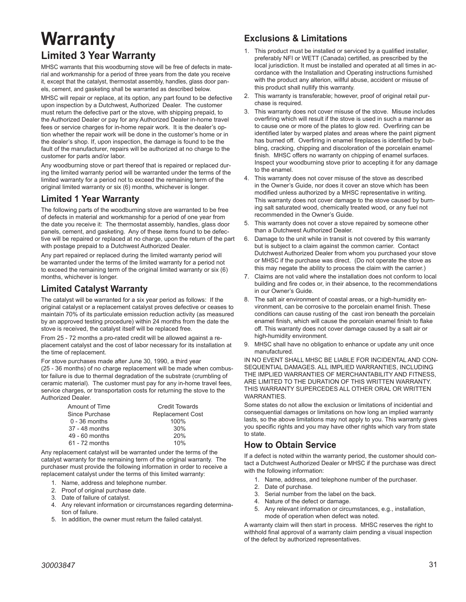# **Warranty Limited 3 Year Warranty**

MHSC warrants that this woodburning stove will be free of defects in material and workmanship for a period of three years from the date you receive it, except that the catalyst, thermostat assembly, handles, glass door panels, cement, and gasketing shall be warranted as described below.

MHSC will repair or replace, at its option, any part found to be defective upon inspection by a Dutchwest, Authorized Dealer. The customer must return the defective part or the stove, with shipping prepaid, to the Authorized Dealer or pay for any Authorized Dealer in-home travel fees or service charges for in-home repair work. It is the dealer's option whether the repair work will be done in the customer's home or in the dealer's shop. If, upon inspection, the damage is found to be the fault of the manufacturer, repairs will be authorized at no charge to the customer for parts and/or labor.

Any woodburning stove or part thereof that is repaired or replaced during the limited warranty period will be warranted under the terms of the limited warranty for a period not to exceed the remaining term of the original limited warranty or six (6) months, whichever is longer.

#### **Limited 1 Year Warranty**

The following parts of the woodburning stove are warranted to be free of defects in material and workmanship for a period of one year from the date you receive it: The thermostat assembly, handles, glass door panels, cement, and gasketing. Any of these items found to be defective will be repaired or replaced at no charge, upon the return of the part with postage prepaid to a Dutchwest Authorized Dealer.

Any part repaired or replaced during the limited warranty period will be warranted under the terms of the limited warranty for a period not to exceed the remaining term of the original limited warranty or six (6) months, whichever is longer.

#### **Limited Catalyst Warranty**

The catalyst will be warranted for a six year period as follows: If the original catalyst or a replacement catalyst proves defective or ceases to maintain 70% of its particulate emission reduction activity (as measured by an approved testing procedure) within 24 months from the date the stove is received, the catalyst itself will be replaced free.

From 25 - 72 months a pro-rated credit will be allowed against a replacement catalyst and the cost of labor necessary for its installation at the time of replacement.

For stove purchases made after June 30, 1990, a third year (25 - 36 months) of no charge replacement will be made when combustor failure is due to thermal degradation of the substrate (crumbling of ceramic material). The customer must pay for any in-home travel fees, service charges, or transportation costs for returning the stove to the Authorized Dealer.

| Amount of Time  | <b>Credit Towards</b>   |
|-----------------|-------------------------|
| Since Purchase  | <b>Replacement Cost</b> |
| $0 - 36$ months | 100%                    |
| 37 - 48 months  | 30%                     |
| 49 - 60 months  | 20%                     |
| 61 - 72 months  | 10%                     |

Any replacement catalyst will be warranted under the terms of the catalyst warranty for the remaining term of the original warranty. The purchaser must provide the following information in order to receive a replacement catalyst under the terms of this limited warranty:

- 1. Name, address and telephone number.
- 2. Proof of original purchase date.
- 3. Date of failure of catalyst.
- 4. Any relevant information or circumstances regarding determination of failure.
- 5. In addition, the owner must return the failed catalyst.

## **Exclusions & Limitations**

- 1. This product must be installed or serviced by a qualified installer, preferably NFI or WETT (Canada) certified, as prescribed by the local jurisdiction. It must be installed and operated at all times in accordance with the Installation and Operating instructions furnished with the product any alterion, willful abuse, accident or misuse of this product shall nullify this warranty.
- 2. This warranty is transferable; however, proof of original retail purchase is required.
- 3. This warranty does not cover misuse of the stove. Misuse includes overfiring which will result if the stove is used in such a manner as to cause one or more of the plates to glow red. Overfiring can be identified later by warped plates and areas where the paint pigment has burned off. Overfiring in enamel fireplaces is identified by bubbling, cracking, chipping and discoloration of the porcelain enamel finish. MHSC offers no warranty on chipping of enamel surfaces. Inspect your woodburning stove prior to accepting it for any damage to the enamel.
- 4. This warranty does not cover misuse of the stove as described in the Owner's Guide, nor does it cover an stove which has been modified unless authorized by a MHSC representative in writing. This warranty does not cover damage to the stove caused by burning salt saturated wood, chemically treated wood, or any fuel not recommended in the Owner's Guide.
- 5. This warranty does not cover a stove repaired by someone other than a Dutchwest Authorized Dealer.
- 6. Damage to the unit while in transit is not covered by this warranty but is subject to a claim against the common carrier. Contact Dutchwest Authorized Dealer from whom you purchased your stove or MHSC if the purchase was direct. (Do not operate the stove as this may negate the ability to process the claim with the carrier.)
- 7. Claims are not valid where the installation does not conform to local building and fire codes or, in their absence, to the recommendations in our Owner's Guide.
- 8. The salt air environment of coastal areas, or a high-humidity environment, can be corrosive to the porcelain enamel finish. These conditions can cause rusting of the cast iron beneath the porcelain enamel finish, which will cause the porcelain enamel finish to flake off. This warranty does not cover damage caused by a salt air or high-humidity environment.
- 9. MHSC shall have no obligation to enhance or update any unit once manufactured.

IN NO EVENT SHALL MHSC BE LIABLE FOR INCIDENTAL AND CON-SEQUENTIAL DAMAGES. ALL IMPLIED WARRANTIES, INCLUDING THE IMPLIED WARRANTIES OF MERCHANTABILITY AND FITNESS, ARE LIMITED TO THE DURATION OF THIS WRITTEN WARRANTY. THIS WARRANTY SUPERCEDES ALL OTHER ORAL OR WRITTEN **WARRANTIFS** 

Some states do not allow the exclusion or limitations of incidential and consequential damages or limitations on how long an implied warranty lasts, so the above limitations may not apply to you. This warranty gives you specific rights and you may have other rights which vary from state to state.

#### **How to Obtain Service**

If a defect is noted within the warranty period, the customer should contact a Dutchwest Authorized Dealer or MHSC if the purchase was direct with the following information:

- 1. Name, address, and telephone number of the purchaser.
- 2. Date of purchase.
- 3. Serial number from the label on the back.
- 4. Nature of the defect or damage.
- 5. Any relevant information or circumstances, e.g., installation, mode of operation when defect was noted.

A warranty claim will then start in process. MHSC reserves the right to withhold final approval of a warranty claim pending a visual inspection of the defect by authorized representatives.